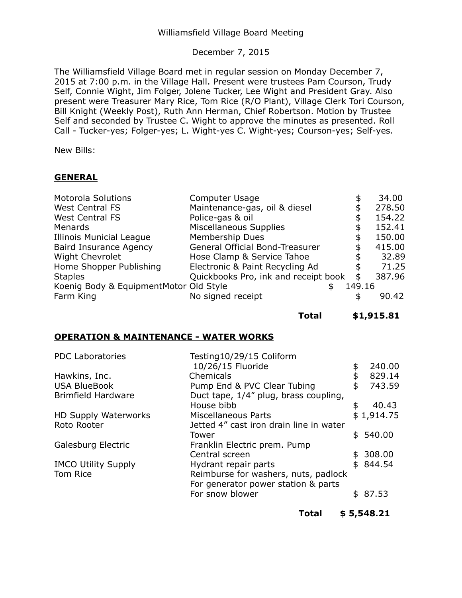## Williamsfield Village Board Meeting

# December 7, 2015

The Williamsfield Village Board met in regular session on Monday December 7, 2015 at 7:00 p.m. in the Village Hall. Present were trustees Pam Courson, Trudy Self, Connie Wight, Jim Folger, Jolene Tucker, Lee Wight and President Gray. Also present were Treasurer Mary Rice, Tom Rice (R/O Plant), Village Clerk Tori Courson, Bill Knight (Weekly Post), Ruth Ann Herman, Chief Robertson. Motion by Trustee Self and seconded by Trustee C. Wight to approve the minutes as presented. Roll Call - Tucker-yes; Folger-yes; L. Wight-yes C. Wight-yes; Courson-yes; Self-yes.

New Bills:

## **GENERAL**

| <b>Motorola Solutions</b>              | Computer Usage                       | \$     | 34.00  |
|----------------------------------------|--------------------------------------|--------|--------|
| <b>West Central FS</b>                 | Maintenance-gas, oil & diesel        | \$     | 278.50 |
| <b>West Central FS</b>                 | Police-gas & oil                     |        | 154.22 |
| Menards                                | <b>Miscellaneous Supplies</b>        |        | 152.41 |
| <b>Illinois Municial League</b>        | Membership Dues                      |        | 150.00 |
| <b>Baird Insurance Agency</b>          | General Official Bond-Treasurer      | \$     | 415.00 |
| <b>Wight Chevrolet</b>                 | Hose Clamp & Service Tahoe           |        | 32.89  |
| Home Shopper Publishing                | Electronic & Paint Recycling Ad      |        | 71.25  |
| <b>Staples</b>                         | Quickbooks Pro, ink and receipt book | \$     | 387.96 |
| Koenig Body & EquipmentMotor Old Style |                                      | 149.16 |        |
| Farm King                              | No signed receipt                    | \$     | 90.42  |

**Total [\\$1,915.81](https://1,915.81)** 

## **OPERATION & MAINTENANCE - WATER WORKS**

| <b>PDC Laboratories</b>     | Testing10/29/15 Coliform                |              |  |
|-----------------------------|-----------------------------------------|--------------|--|
|                             | 10/26/15 Fluoride                       | \$<br>240.00 |  |
| Hawkins, Inc.               | Chemicals                               | \$<br>829.14 |  |
| <b>USA BlueBook</b>         | Pump End & PVC Clear Tubing             | \$<br>743.59 |  |
| <b>Brimfield Hardware</b>   | Duct tape, 1/4" plug, brass coupling,   |              |  |
|                             | House bibb                              | \$<br>40.43  |  |
| <b>HD Supply Waterworks</b> | <b>Miscellaneous Parts</b>              | \$1,914.75   |  |
| Roto Rooter                 | Jetted 4" cast iron drain line in water |              |  |
|                             | Tower                                   | \$540.00     |  |
| Galesburg Electric          | Franklin Electric prem. Pump            |              |  |
|                             | Central screen                          | 308.00       |  |
| <b>IMCO Utility Supply</b>  | Hydrant repair parts                    | \$<br>844.54 |  |
| Tom Rice                    | Reimburse for washers, nuts, padlock    |              |  |
|                             | For generator power station & parts     |              |  |
|                             | For snow blower                         | \$<br>87.53  |  |
|                             |                                         |              |  |

**Total \$ [5,548.21](https://5,548.21)**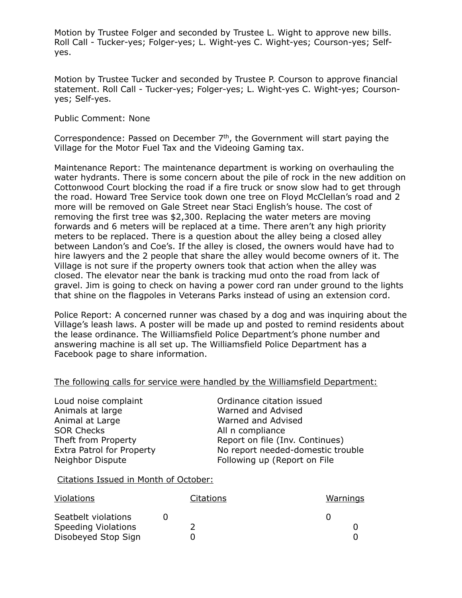Motion by Trustee Folger and seconded by Trustee L. Wight to approve new bills. Roll Call - Tucker-yes; Folger-yes; L. Wight-yes C. Wight-yes; Courson-yes; Selfyes.

 Motion by Trustee Tucker and seconded by Trustee P. Courson to approve financial statement. Roll Call - Tucker-yes; Folger-yes; L. Wight-yes C. Wight-yes; Courson-yes; Self-yes.

Public Comment: None

Correspondence: Passed on December  $7<sup>th</sup>$ , the Government will start paying the Village for the Motor Fuel Tax and the Videoing Gaming tax.

 Maintenance Report: The maintenance department is working on overhauling the water hydrants. There is some concern about the pile of rock in the new addition on Cottonwood Court blocking the road if a fire truck or snow slow had to get through the road. Howard Tree Service took down one tree on Floyd McClellan's road and 2 more will be removed on Gale Street near Staci English's house. The cost of removing the first tree was \$2,300. Replacing the water meters are moving forwards and 6 meters will be replaced at a time. There aren't any high priority meters to be replaced. There is a question about the alley being a closed alley between Landon's and Coe's. If the alley is closed, the owners would have had to hire lawyers and the 2 people that share the alley would become owners of it. The Village is not sure if the property owners took that action when the alley was closed. The elevator near the bank is tracking mud onto the road from lack of gravel. Jim is going to check on having a power cord ran under ground to the lights that shine on the flagpoles in Veterans Parks instead of using an extension cord.

 Police Report: A concerned runner was chased by a dog and was inquiring about the Village's leash laws. A poster will be made up and posted to remind residents about the lease ordinance. The Williamsfield Police Department's phone number and answering machine is all set up. The Williamsfield Police Department has a Facebook page to share information.

#### The following calls for service were handled by the Williamsfield Department:

Animals at large Animal at Large **SOR Checks** Theft from Property Extra Patrol for Property Neighbor Dispute

Loud noise complaint Ordinance citation issued Warned and Advised Warned and Advised All n compliance Report on file (Inv. Continues) No report needed-domestic trouble Following up (Report on File

Citations Issued in Month of October:

| Violations                                 |  | Citations | Warnings |  |
|--------------------------------------------|--|-----------|----------|--|
| Seatbelt violations<br>Speeding Violations |  |           |          |  |
| Disobeyed Stop Sign                        |  |           |          |  |